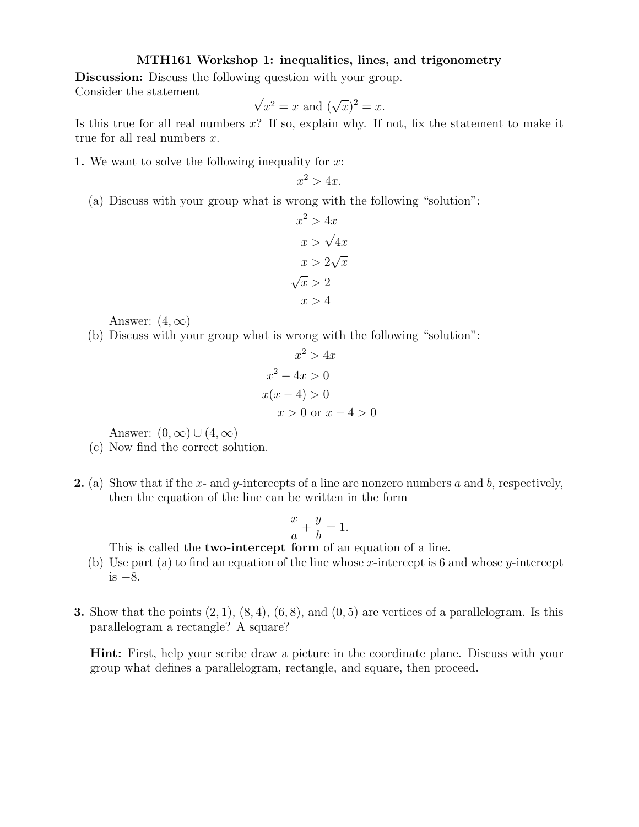## MTH161 Workshop 1: inequalities, lines, and trigonometry

Discussion: Discuss the following question with your group. Consider the statement √

$$
\sqrt{x^2} = x
$$
 and 
$$
(\sqrt{x})^2 = x.
$$

Is this true for all real numbers  $x$ ? If so, explain why. If not, fix the statement to make it true for all real numbers  $x$ .

1. We want to solve the following inequality for  $x$ :

$$
x^2 > 4x.
$$

(a) Discuss with your group what is wrong with the following "solution":

$$
x^{2} > 4x
$$

$$
x > \sqrt{4x}
$$

$$
x > 2\sqrt{x}
$$

$$
\sqrt{x} > 2
$$

$$
x > 4
$$

Answer:  $(4, \infty)$ 

(b) Discuss with your group what is wrong with the following "solution":

$$
x2 > 4x
$$
  

$$
x2 - 4x > 0
$$
  

$$
x(x - 4) > 0
$$
  

$$
x > 0 \text{ or } x - 4 > 0
$$

Answer:  $(0, \infty) \cup (4, \infty)$ 

- (c) Now find the correct solution.
- 2. (a) Show that if the x- and y-intercepts of a line are nonzero numbers a and b, respectively, then the equation of the line can be written in the form

$$
\frac{x}{a} + \frac{y}{b} = 1.
$$

This is called the **two-intercept form** of an equation of a line.

- (b) Use part (a) to find an equation of the line whose x-intercept is 6 and whose y-intercept is  $-8$ .
- **3.** Show that the points  $(2, 1)$ ,  $(8, 4)$ ,  $(6, 8)$ , and  $(0, 5)$  are vertices of a parallelogram. Is this parallelogram a rectangle? A square?

Hint: First, help your scribe draw a picture in the coordinate plane. Discuss with your group what defines a parallelogram, rectangle, and square, then proceed.